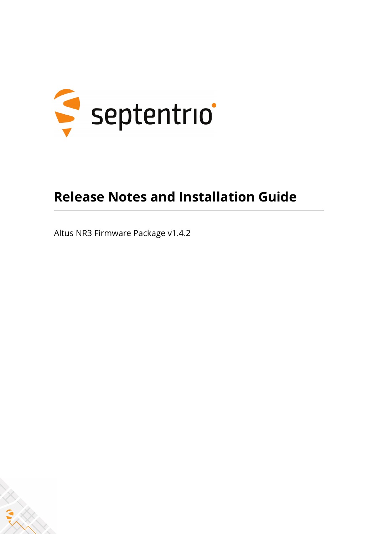

## **Release Notes and Installation Guide**

Altus NR3 Firmware Package v1.4.2

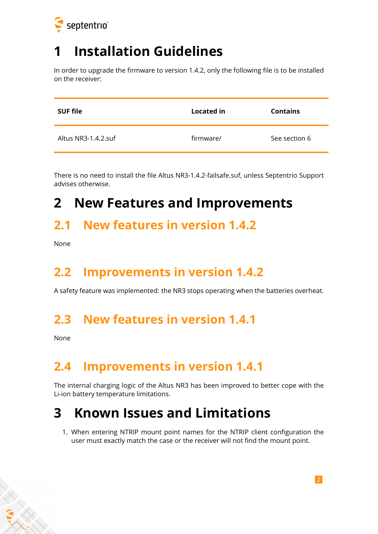

## **1 Installation Guidelines**

In order to upgrade the firmware to version 1.4.2, only the following file is to be installed on the receiver:

| <b>SUF file</b>     | Located in | <b>Contains</b> |
|---------------------|------------|-----------------|
| Altus NR3-1.4.2.suf | firmware/  | See section 6   |

There is no need to install the file Altus NR3-1.4.2-failsafe.suf, unless Septentrio Support advises otherwise.

## **2 New Features and Improvements**

#### **2.1 New features in version 1.4.2**

None

### **2.2 Improvements in version 1.4.2**

A safety feature was implemented: the NR3 stops operating when the batteries overheat.

#### **2.3 New features in version 1.4.1**

None

### **2.4 Improvements in version 1.4.1**

The internal charging logic of the Altus NR3 has been improved to better cope with the Li-ion battery temperature limitations.

## **3 Known Issues and Limitations**

1. When entering NTRIP mount point names for the NTRIP client configuration the user must exactly match the case or the receiver will not find the mount point.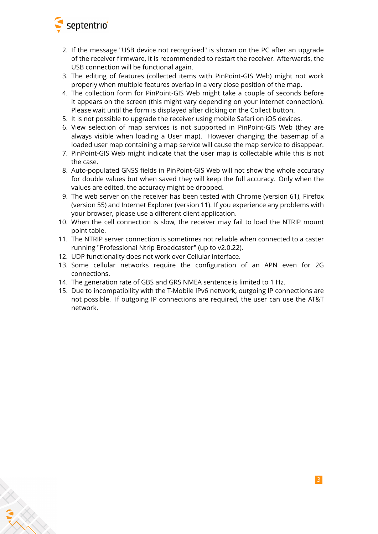

- 2. If the message "USB device not recognised" is shown on the PC after an upgrade of the receiver firmware, it is recommended to restart the receiver. Afterwards, the USB connection will be functional again.
- 3. The editing of features (collected items with PinPoint-GIS Web) might not work properly when multiple features overlap in a very close position of the map.
- 4. The collection form for PinPoint-GIS Web might take a couple of seconds before it appears on the screen (this might vary depending on your internet connection). Please wait until the form is displayed after clicking on the Collect button.
- 5. It is not possible to upgrade the receiver using mobile Safari on iOS devices.
- 6. View selection of map services is not supported in PinPoint-GIS Web (they are always visible when loading a User map). However changing the basemap of a loaded user map containing a map service will cause the map service to disappear.
- 7. PinPoint-GIS Web might indicate that the user map is collectable while this is not the case.
- 8. Auto-populated GNSS fields in PinPoint-GIS Web will not show the whole accuracy for double values but when saved they will keep the full accuracy. Only when the values are edited, the accuracy might be dropped.
- 9. The web server on the receiver has been tested with Chrome (version 61), Firefox (version 55) and Internet Explorer (version 11). If you experience any problems with your browser, please use a different client application.
- 10. When the cell connection is slow, the receiver may fail to load the NTRIP mount point table.
- 11. The NTRIP server connection is sometimes not reliable when connected to a caster running "Professional Ntrip Broadcaster" (up to v2.0.22).
- 12. UDP functionality does not work over Cellular interface.
- 13. Some cellular networks require the configuration of an APN even for 2G connections.
- 14. The generation rate of GBS and GRS NMEA sentence is limited to 1 Hz.
- 15. Due to incompatibility with the T-Mobile IPv6 network, outgoing IP connections are not possible. If outgoing IP connections are required, the user can use the AT&T network.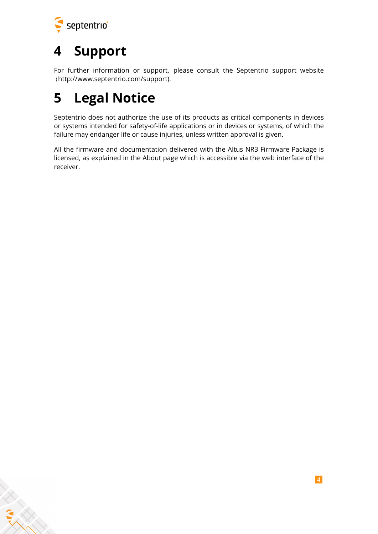

ERANT

## **4 Support**

For further information or support, please consult the Septentrio support website [\(](()http://www.septentrio.com/support).

# **5 Legal Notice**

Septentrio does not authorize the use of its products as critical components in devices or systems intended for safety-of-life applications or in devices or systems, of which the failure may endanger life or cause injuries, unless written approval is given.

All the firmware and documentation delivered with the Altus NR3 Firmware Package is licensed, as explained in the About page which is accessible via the web interface of the receiver.